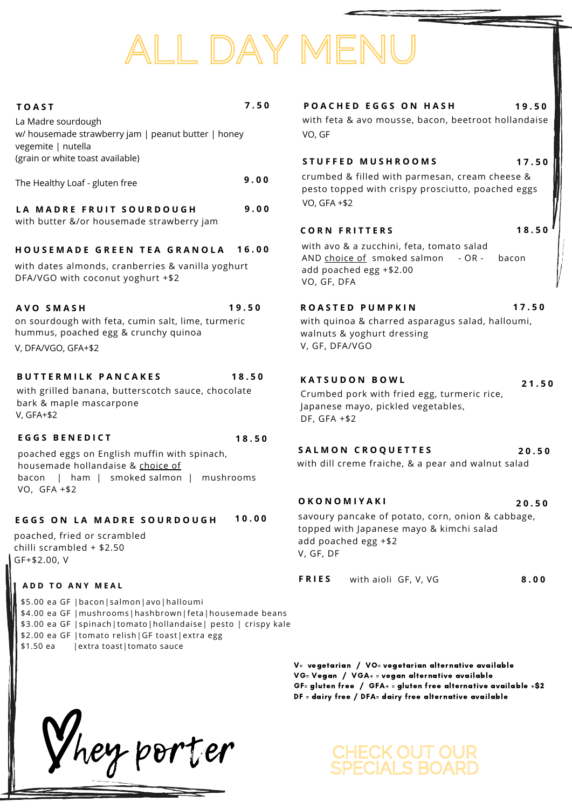poached eggs on English muffin with spinach, housemade hollandaise & choice of bacon | ham | smoked salmon | mushrooms VO, GFA +\$2

#### EGGS ON LA MADRE SOURDOUGH 10.00

Crumbed pork with fried egg, turmeric rice, Japanese mayo, pickled vegetables, DF, GFA +\$2

\$5.00 ea GF |bacon|salmon|avo|halloumi \$4.00 ea GF |mushrooms|hashbrown|feta|housemade beans \$3.00 ea GF |spinach|tomato|hollandaise| pesto | crispy kale \$2.00 ea GF |tomato relish|GF toast|extra egg \$1.50 ea | extra toast | tomato sauce

#### **E G G S B E N E D I C T**

| <b>FRIES</b> | with aioli GF, V, VG | 8.00 |
|--------------|----------------------|------|
|--------------|----------------------|------|

| <b>TOAST</b><br>La Madre sourdough<br>w/ housemade strawberry jam   peanut butter   honey<br>vegemite   nutella                | 7.50  | POACHED EGGS ON HASH<br>with feta & avo mousse, bacon, beetroot hollandaise<br>VO, GF                                        | 19.50 |
|--------------------------------------------------------------------------------------------------------------------------------|-------|------------------------------------------------------------------------------------------------------------------------------|-------|
| (grain or white toast available)                                                                                               |       | STUFFED MUSHROOMS                                                                                                            | 17.50 |
| The Healthy Loaf - gluten free                                                                                                 | 9.00  | crumbed & filled with parmesan, cream cheese &<br>pesto topped with crispy prosciutto, poached eggs                          |       |
| LA MADRE FRUIT SOURDOUGH                                                                                                       | 9.00  | <b>VO, GFA +\$2</b>                                                                                                          |       |
| with butter &/or housemade strawberry jam                                                                                      |       | <b>CORN FRITTERS</b>                                                                                                         | 18.50 |
| HOUSEMADE GREEN TEA GRANOLA<br>with dates almonds, cranberries & vanilla yoghurt<br>DFA/VGO with coconut yoghurt +\$2          | 16.00 | with avo & a zucchini, feta, tomato salad<br>AND choice of smoked salmon<br>- OR -<br>add poached egg +\$2.00<br>VO, GF, DFA | bacon |
| AVO SMASH<br>on sourdough with feta, cumin salt, lime, turmeric<br>hummus, poached egg & crunchy quinoa<br>V, DFA/VGO, GFA+\$2 | 19.50 | ROASTED PUMPKIN<br>with quinoa & charred asparagus salad, halloumi,<br>walnuts & yoghurt dressing<br>V, GF, DFA/VGO          | 17.50 |
| <b>BUTTERMILK PANCAKES</b>                                                                                                     | 18.50 | KATSUDON BOWL                                                                                                                | 21.50 |

V= vegetarian / VO= vegetarian alternative available VG= Vegan / VGA+ = vegan alternative available GF= gluten free  $/$  GFA+ = gluten free alternative available +\$2 DF = dairy free / DFA= dairy free alternative available

with grilled banana, butterscotch sauce, chocolate bark & maple mascarpone V, GFA+\$2

**1 8 . 5 0**

# ALL DAY MENU

hey porter

savoury pancake of potato, corn, onion & cabbage, topped with Japanese mayo & kimchi salad add poached egg +\$2 V, GF, DF

#### **O K O N O M I Y A K I 2 0 . 5 0**

with dill creme fraiche, & a pear and walnut salad

#### **S A L M O N C R O Q U E T T E S 2 0 . 5 0**

### CHECK OUT OUR SPECIALS BOARD

poached, fried or scrambled chilli scrambled + \$2.50 GF+\$2.00, V

#### **A D D T O A N Y M E A L**